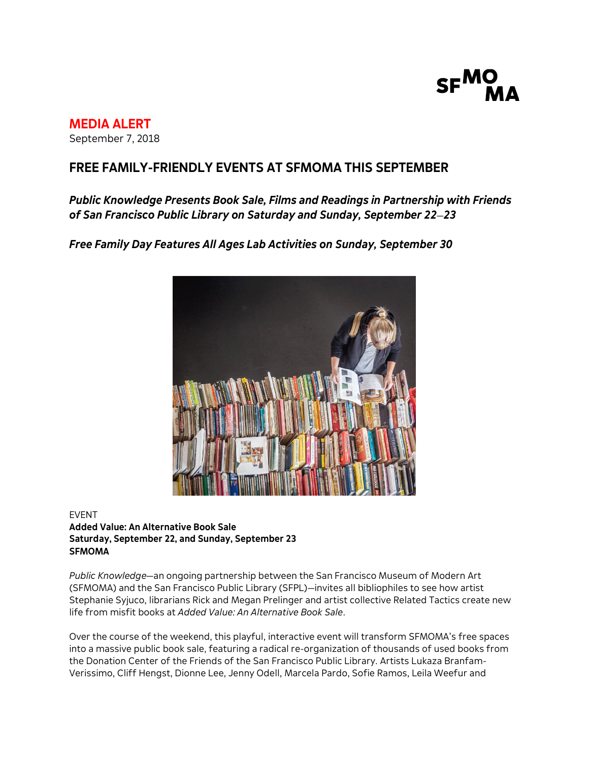

# **MEDIA ALERT**

September 7, 2018

# **FREE FAMILY-FRIENDLY EVENTS AT SFMOMA THIS SEPTEMBER**

*Public Knowledge Presents Book Sale, Films and Readings in Partnership with Friends of San Francisco Public Library on Saturday and Sunday, September 22*—*23*

*Free Family Day Features All Ages Lab Activities on Sunday, September 30*



## EVENT **Added Value: An Alternative Book Sale Saturday, September 22, and Sunday, September 23 SFMOMA**

*Public Knowledge*—an ongoing partnership between the San Francisco Museum of Modern Art (SFMOMA) and the San Francisco Public Library (SFPL)—invites all bibliophiles to see how artist Stephanie Syjuco, librarians Rick and Megan Prelinger and artist collective Related Tactics create new life from misfit books at *Added Value: An Alternative Book Sale*.

Over the course of the weekend, this playful, interactive event will transform SFMOMA's free spaces into a massive public book sale, featuring a radical re-organization of thousands of used books from the Donation Center of the Friends of the San Francisco Public Library. Artists Lukaza Branfam-Verissimo, Cliff Hengst, Dionne Lee, Jenny Odell, Marcela Pardo, Sofie Ramos, Leila Weefur and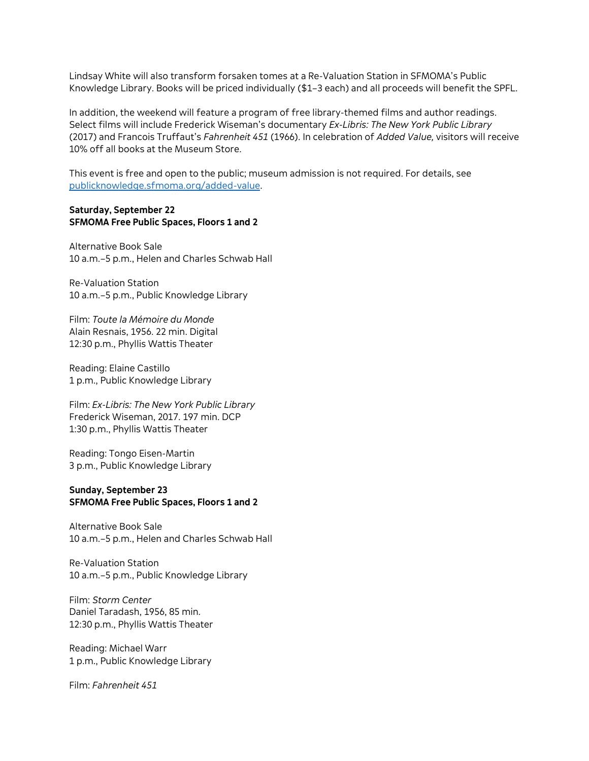Lindsay White will also transform forsaken tomes at a Re-Valuation Station in SFMOMA's Public Knowledge Library. Books will be priced individually (\$1–3 each) and all proceeds will benefit the SPFL.

In addition, the weekend will feature a program of free library-themed films and author readings. Select films will include Frederick Wiseman's documentary *Ex-Libris: The New York Public Library* (2017) and Francois Truffaut's *Fahrenheit 451* (1966). In celebration of *Added Value,* visitors will receive 10% off all books at the Museum Store.

This event is free and open to the public; museum admission is not required. For details, see [publicknowledge.sfmoma.org/added-value.](http://icm-tracking.meltwater.com/link.php?DynEngagement=true&H=btYXC68syxnIlVIaW0qBweEUHWPFwuN5EgnqFgPj0oiC1OMl9zi1RpglVs4krWnpxVX5k3TD8BkUTv319bp6SbaVkc9YUrQ3jpRW%2Bd8u5zSCYQSAxHgGFFaKsk9wFMoO&G=0&R=https%3A%2F%2Fpublicknowledge.sfmoma.org%2Fadded-value%2F&I=20180823170001.000000539b5d%40mail6-113-ussnn1&X=MHwxMDQ2NzU4OjViN2RlODQ5ZDk1NWQ2ZGE2Yjg2ZGUwYTs%3D&S=N2ULeCaphvJdGDkyY8ZThLhtrHImPDvRPWeOa0MZnX4)

#### **Saturday, September 22 SFMOMA Free Public Spaces, Floors 1 and 2**

Alternative Book Sale 10 a.m.–5 p.m., Helen and Charles Schwab Hall

Re-Valuation Station 10 a.m.–5 p.m., Public Knowledge Library

Film: *Toute la Mémoire du Monde* Alain Resnais, 1956. 22 min. Digital 12:30 p.m., Phyllis Wattis Theater

Reading: Elaine Castillo 1 p.m., Public Knowledge Library

Film: *Ex-Libris: The New York Public Library* Frederick Wiseman, 2017. 197 min. DCP 1:30 p.m., Phyllis Wattis Theater

Reading: Tongo Eisen-Martin 3 p.m., Public Knowledge Library

#### **Sunday, September 23 SFMOMA Free Public Spaces, Floors 1 and 2**

Alternative Book Sale 10 a.m.–5 p.m., Helen and Charles Schwab Hall

Re-Valuation Station 10 a.m.–5 p.m., Public Knowledge Library

Film: *Storm Center* Daniel Taradash, 1956, 85 min. 12:30 p.m., Phyllis Wattis Theater

Reading: Michael Warr 1 p.m., Public Knowledge Library

Film: *Fahrenheit 451*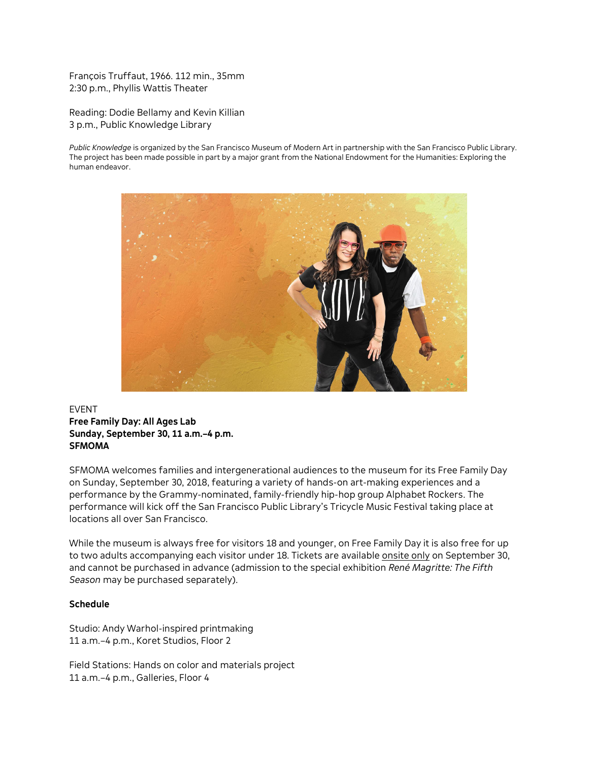François Truffaut, 1966. 112 min., 35mm 2:30 p.m., Phyllis Wattis Theater

Reading: Dodie Bellamy and Kevin Killian 3 p.m., Public Knowledge Library

*Public Knowledge* is organized by the San Francisco Museum of Modern Art in partnership with the San Francisco Public Library. The project has been made possible in part by a major grant from the National Endowment for the Humanities: Exploring the human endeavor.



## EVENT **Free Family Day: All Ages Lab Sunday, September 30, 11 a.m.–4 p.m. SFMOMA**

SFMOMA welcomes families and intergenerational audiences to the museum for its Free Family Day on Sunday, September 30, 2018, featuring a variety of hands-on art-making experiences and a performance by the Grammy-nominated, family-friendly hip-hop group Alphabet Rockers. The performance will kick off the San Francisco Public Library's Tricycle Music Festival taking place at locations all over San Francisco.

While the museum is always free for visitors 18 and younger, on Free Family Day it is also free for up to two adults accompanying each visitor under 18. Tickets are available onsite only on September 30, and cannot be purchased in advance (admission to the special exhibition *René Magritte: The Fifth Season* may be purchased separately).

#### **Schedule**

Studio: Andy Warhol-inspired printmaking 11 a.m.–4 p.m., Koret Studios, Floor 2

Field Stations: Hands on color and materials project 11 a.m.–4 p.m., Galleries, Floor 4